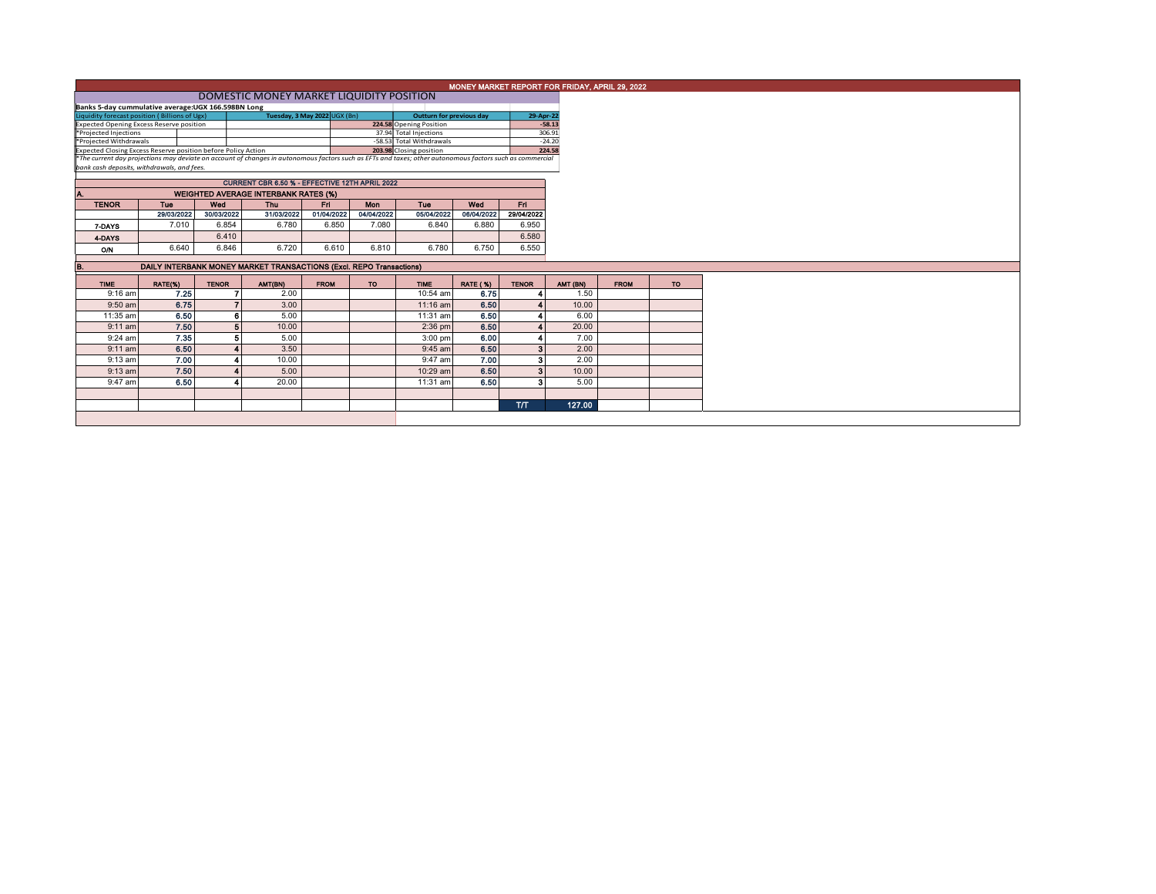|                                                                                                                                  | MONEY MARKET REPORT FOR FRIDAY, APRIL 29, 2022                                                                                                                                                         |              |                                             |            |             |                                                |                          |                 |                         |          |             |           |  |
|----------------------------------------------------------------------------------------------------------------------------------|--------------------------------------------------------------------------------------------------------------------------------------------------------------------------------------------------------|--------------|---------------------------------------------|------------|-------------|------------------------------------------------|--------------------------|-----------------|-------------------------|----------|-------------|-----------|--|
|                                                                                                                                  |                                                                                                                                                                                                        |              |                                             |            |             |                                                |                          |                 |                         |          |             |           |  |
| Banks 5-day cummulative average:UGX 166.598BN Long<br>29-Apr-22<br><b>Outturn for previous day</b>                               |                                                                                                                                                                                                        |              |                                             |            |             |                                                |                          |                 |                         |          |             |           |  |
| Tuesday, 3 May 2022 UGX (Bn)<br>Liquidity forecast position (Billions of Ugx)<br><b>Expected Opening Excess Reserve position</b> |                                                                                                                                                                                                        |              |                                             |            |             | 224.58 Opening Position                        |                          |                 | $-58.13$                |          |             |           |  |
| *Projected Injections                                                                                                            |                                                                                                                                                                                                        |              |                                             |            |             |                                                | 37.94 Total Injections   |                 |                         | 306.91   |             |           |  |
| *Projected Withdrawals                                                                                                           |                                                                                                                                                                                                        |              |                                             |            |             |                                                | -58.53 Total Withdrawals |                 |                         | $-24.20$ |             |           |  |
| Expected Closing Excess Reserve position before Policy Action                                                                    |                                                                                                                                                                                                        |              |                                             |            |             |                                                | 203.98 Closing position  |                 |                         | 224.58   |             |           |  |
|                                                                                                                                  | *The current day projections may deviate on account of changes in autonomous factors such as EFTs and taxes; other autonomous factors such as commercial<br>bank cash deposits, withdrawals, and fees. |              |                                             |            |             |                                                |                          |                 |                         |          |             |           |  |
|                                                                                                                                  |                                                                                                                                                                                                        |              |                                             |            |             | CURRENT CBR 6.50 % - EFFECTIVE 12TH APRIL 2022 |                          |                 |                         |          |             |           |  |
|                                                                                                                                  |                                                                                                                                                                                                        |              | <b>WEIGHTED AVERAGE INTERBANK RATES (%)</b> |            |             |                                                |                          |                 |                         |          |             |           |  |
| <b>TENOR</b>                                                                                                                     | Tue                                                                                                                                                                                                    | Wed          | <b>Thu</b>                                  |            | Ed.         | Mon                                            | Tue                      | Wed             | Fri.                    |          |             |           |  |
|                                                                                                                                  | 29/03/2022                                                                                                                                                                                             | 30/03/2022   |                                             | 31/03/2022 | 01/04/2022  | 04/04/2022                                     | 05/04/2022               | 06/04/2022      | 29/04/2022              |          |             |           |  |
| 7-DAYS                                                                                                                           | 7.010                                                                                                                                                                                                  |              | 6.854                                       | 6.780      | 6.850       | 7.080                                          | 6.840                    | 6.880           | 6.950                   |          |             |           |  |
| 4-DAYS                                                                                                                           |                                                                                                                                                                                                        |              | 6.410                                       |            |             |                                                |                          |                 | 6.580                   |          |             |           |  |
| O/N                                                                                                                              | 6.640                                                                                                                                                                                                  |              | 6.846                                       | 6.720      | 6.610       | 6.810                                          | 6.780                    | 6.750           | 6.550                   |          |             |           |  |
|                                                                                                                                  | DAILY INTERBANK MONEY MARKET TRANSACTIONS (Excl. REPO Transactions)                                                                                                                                    |              |                                             |            |             |                                                |                          |                 |                         |          |             |           |  |
| В.                                                                                                                               |                                                                                                                                                                                                        |              |                                             |            |             |                                                |                          |                 |                         |          |             |           |  |
| <b>TIME</b>                                                                                                                      | RATE(%)                                                                                                                                                                                                | <b>TENOR</b> | AMT(BN)                                     |            | <b>FROM</b> | <b>TO</b>                                      | <b>TIME</b>              | <b>RATE (%)</b> | <b>TENOR</b>            | AMT (BN) | <b>FROM</b> | <b>TO</b> |  |
| $9:16$ am                                                                                                                        |                                                                                                                                                                                                        | 7.25         |                                             | 2.00       |             |                                                | 10:54 am                 | 6.75            |                         | 1.50     |             |           |  |
| 9:50 am                                                                                                                          |                                                                                                                                                                                                        | 6.75         |                                             | 3.00       |             |                                                | 11:16 am                 | 6.50            |                         | 10.00    |             |           |  |
| 11:35 am                                                                                                                         |                                                                                                                                                                                                        | 6.50         | 6                                           | 5.00       |             |                                                | 11:31 am                 | 6.50            |                         | 6.00     |             |           |  |
| $9:11$ am                                                                                                                        |                                                                                                                                                                                                        | 7.50         |                                             | 10.00      |             |                                                | $2:36$ pm                | 6.50            |                         | 20.00    |             |           |  |
| $9:24$ am                                                                                                                        |                                                                                                                                                                                                        | 7.35         | 5                                           | 5.00       |             |                                                | $3:00$ pm                | 6.00            |                         | 7.00     |             |           |  |
| $9:11$ am                                                                                                                        |                                                                                                                                                                                                        | 6.50         |                                             | 3.50       |             |                                                | 9:45 am                  | 6.50            | $\mathbf{a}$            | 2.00     |             |           |  |
| 9:13 am                                                                                                                          |                                                                                                                                                                                                        | 7.00         |                                             | 10.00      |             |                                                | 9:47 am                  | 7.00            | $\overline{\mathbf{3}}$ | 2.00     |             |           |  |
| $9:13$ am                                                                                                                        |                                                                                                                                                                                                        | 7.50         |                                             | 5.00       |             |                                                | 10:29 am                 | 6.50            | 3                       | 10.00    |             |           |  |
| 9:47 am                                                                                                                          |                                                                                                                                                                                                        | 6.50         |                                             | 20.00      |             |                                                | 11:31 am                 | 6.50            | 3                       | 5.00     |             |           |  |
|                                                                                                                                  |                                                                                                                                                                                                        |              |                                             |            |             |                                                |                          |                 |                         |          |             |           |  |
|                                                                                                                                  |                                                                                                                                                                                                        |              |                                             |            |             |                                                |                          |                 |                         |          |             |           |  |
|                                                                                                                                  |                                                                                                                                                                                                        |              |                                             |            |             |                                                |                          |                 | <b>T/T</b>              | 127.00   |             |           |  |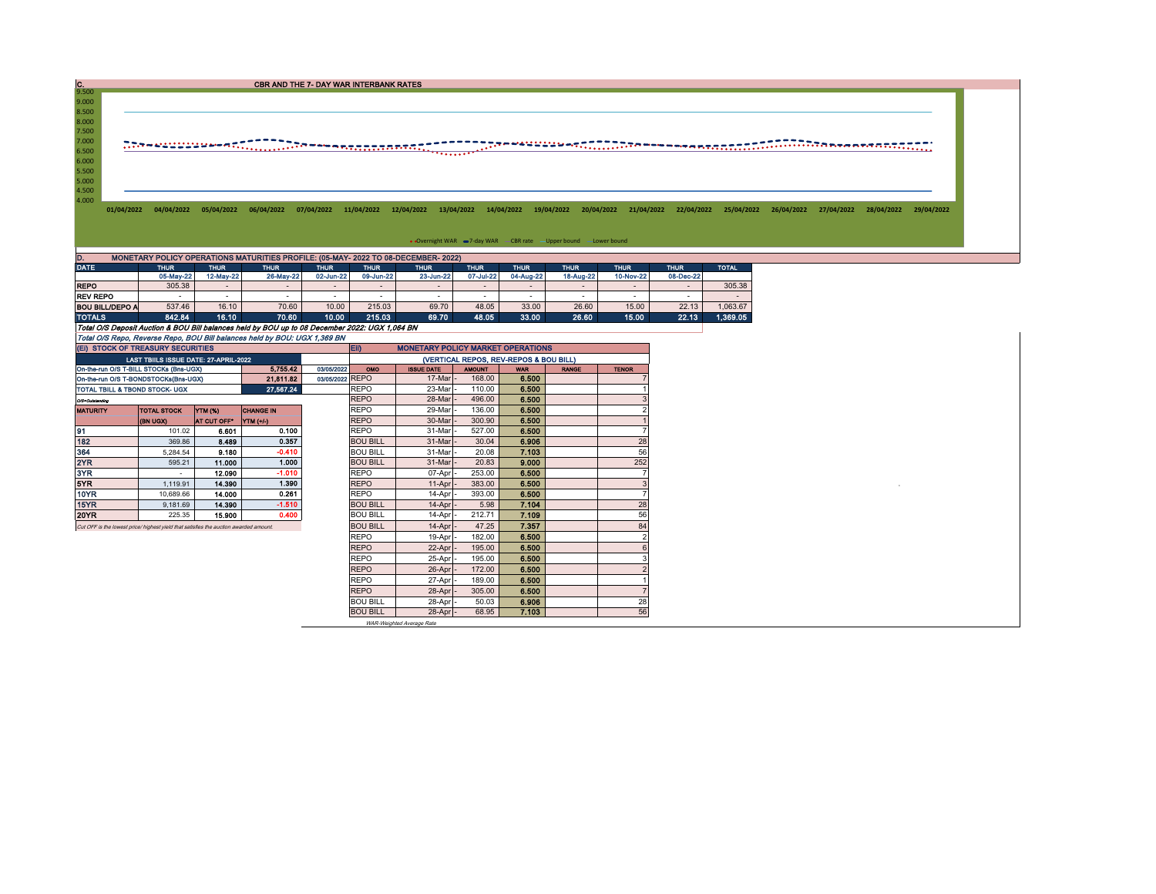CBR AND THE 7- DAY WAR INTERBANK RATES

9.500<br>
8.500<br>
8.000<br>
7.500<br>
7.000<br>
6.500<br>
5.500<br>
5.500<br>
4.500<br>
4.500

01/04/2022 04/04/2022 05/04/2022 06/04/2022 07/04/2022 11/04/2022 12/04/2022 13/04/2022 14/04/2022 19/04/2022 20/04/2022 21/04/2022 22/04/2022 25/04/2022 26/04/2022 27/04/2022 28/04/2022 28/04/2022 28/04/2022 28/04/2022 28/

• Overnight WAR -7-day WAR - CBR rate - Upper bound - Lower bound

| D.<br>MONETARY POLICY OPERATIONS MATURITIES PROFILE: (05-MAY- 2022 TO 08-DECEMBER- 2022) |                            |           |             |             |           |                          |             |             |           |             |             |              |  |  |
|------------------------------------------------------------------------------------------|----------------------------|-----------|-------------|-------------|-----------|--------------------------|-------------|-------------|-----------|-------------|-------------|--------------|--|--|
| <b>DATE</b>                                                                              | <b>THUR</b><br><b>THUR</b> |           | <b>THUR</b> | <b>THUR</b> | THUR.     | <b>THUR</b>              | <b>THUR</b> | <b>THUR</b> |           | <b>THUR</b> | <b>THUR</b> | <b>TOTAL</b> |  |  |
|                                                                                          | 05-May-22                  | 12-May-22 | 26-May-22   | 02-Jun-22   | 09-Jun-22 | 23-Jun-22                | 07-Jul-22   | 04-Aug-22   | 18-Aug-22 | 10-Nov-22   | 08-Dec-22   |              |  |  |
| <b>REPO</b>                                                                              | 305.38                     | -         | $\sim$      |             |           | $\overline{\phantom{0}}$ |             | $\sim$      |           |             |             | 305.38       |  |  |
| <b>REV REPO</b>                                                                          |                            |           |             |             |           | $\overline{\phantom{a}}$ |             |             |           |             |             |              |  |  |
| <b>BOU BILL/DEPO A</b>                                                                   | 537.46                     | 16.10     | 70.60       | 10.00       | 215.03    | 69.70                    | 48.05       | 33.00       | 26.60     | 15.00       | 22.13       | 1.063.67     |  |  |
| <b>TOTALS</b>                                                                            | 842.84                     | 16.10     | 70.60       | 10.00       | 215.03    | 69.70                    | 48.05       | 33.00       | 26.60     | 15.00       | 22.13       | 1.369.05     |  |  |

Total O/S Deposit Auction & BOU Bill balances held by BOU up to 08 December 2022: UGX 1,064 BN

Total O/S Repo, Reverse Repo, BOU Bill balances held by BOU: UGX 1,369 BN

|                                |                 |                                                                                                  |                                                                                                                                                                                                                                   | <b>ED</b><br><b>MONETARY POLICY MARKET OPERATIONS</b> |                                                   |               |                                                   |                         |              |  |  |  |
|--------------------------------|-----------------|--------------------------------------------------------------------------------------------------|-----------------------------------------------------------------------------------------------------------------------------------------------------------------------------------------------------------------------------------|-------------------------------------------------------|---------------------------------------------------|---------------|---------------------------------------------------|-------------------------|--------------|--|--|--|
|                                |                 |                                                                                                  |                                                                                                                                                                                                                                   | (VERTICAL REPOS, REV-REPOS & BOU BILL)                |                                                   |               |                                                   |                         |              |  |  |  |
|                                |                 | 5.755.42                                                                                         | 03/05/2022                                                                                                                                                                                                                        | <b>OMO</b>                                            | <b>ISSUE DATE</b>                                 | <b>AMOUNT</b> | <b>WAR</b>                                        | <b>RANGE</b>            | <b>TENOR</b> |  |  |  |
|                                |                 |                                                                                                  |                                                                                                                                                                                                                                   |                                                       |                                                   |               |                                                   |                         |              |  |  |  |
| TOTAL TBILL & TBOND STOCK- UGX |                 | 27.567.24                                                                                        |                                                                                                                                                                                                                                   | <b>REPO</b>                                           | 23-Mar                                            | 110.00        | 6.500                                             |                         |              |  |  |  |
|                                |                 |                                                                                                  |                                                                                                                                                                                                                                   | <b>REPO</b>                                           | 28-Mar                                            | 496.00        | 6.500                                             |                         |              |  |  |  |
| <b>TOTAL STOCK</b>             |                 | <b>CHANGE IN</b>                                                                                 |                                                                                                                                                                                                                                   |                                                       | 29-Mar                                            |               |                                                   |                         |              |  |  |  |
| (BN UGX)                       | AT CUT OFF"     |                                                                                                  |                                                                                                                                                                                                                                   | <b>REPO</b>                                           | 30-Mar                                            | 300.90        | 6,500                                             |                         |              |  |  |  |
| 101.02                         | 6.601           | 0.100                                                                                            |                                                                                                                                                                                                                                   | <b>REPO</b>                                           | 31-Mar                                            | 527.00        | 6.500                                             |                         |              |  |  |  |
| 369.86                         | 8.489           | 0.357                                                                                            |                                                                                                                                                                                                                                   | <b>BOU BILL</b>                                       | 31-Mar                                            | 30.04         | 6.906                                             |                         | 28           |  |  |  |
| 5.284.54                       |                 | $-0.410$                                                                                         |                                                                                                                                                                                                                                   | <b>BOU BILL</b>                                       | 31-Mar                                            | 20.08         | 7.103                                             |                         | 56           |  |  |  |
| 595.21                         |                 | 1.000                                                                                            |                                                                                                                                                                                                                                   | <b>BOU BILL</b>                                       | 31-Mar                                            | 20.83         | 9.000                                             |                         | 252          |  |  |  |
| $\overline{\phantom{a}}$       | 12.090          | $-1.010$                                                                                         |                                                                                                                                                                                                                                   | <b>REPO</b>                                           | 07-Apr                                            | 253.00        | 6,500                                             |                         |              |  |  |  |
| 1.119.91                       | 14.390          | 1.390                                                                                            |                                                                                                                                                                                                                                   | <b>REPO</b>                                           | 11-Apr                                            | 383.00        | 6.500                                             |                         | 3            |  |  |  |
| 10.689.66                      | 14.000          | 0.261                                                                                            |                                                                                                                                                                                                                                   | <b>REPO</b>                                           | 14-Apr                                            | 393.00        | 6.500                                             |                         |              |  |  |  |
| 9.181.69                       |                 | $-1.510$                                                                                         |                                                                                                                                                                                                                                   | <b>BOU BILL</b>                                       | $14$ -Apr $\overline{\phantom{a}}$                | 5.98          | 7.104                                             |                         | 28           |  |  |  |
| 225.35                         | 15,900          | 0.400                                                                                            |                                                                                                                                                                                                                                   | <b>BOU BILL</b>                                       | 14-Apr                                            | 212.71        | 7.109                                             |                         | 56           |  |  |  |
|                                | <b>BOU BILL</b> | $14-Apr$                                                                                         | 47.25                                                                                                                                                                                                                             | 7.357                                                 |                                                   | 84            |                                                   |                         |              |  |  |  |
|                                |                 |                                                                                                  |                                                                                                                                                                                                                                   | <b>REPO</b>                                           | 19-Apr                                            | 182.00        | 6.500                                             |                         |              |  |  |  |
|                                |                 |                                                                                                  |                                                                                                                                                                                                                                   | <b>REPO</b>                                           | 22-Apr                                            | 195.00        | 6.500                                             |                         |              |  |  |  |
|                                |                 |                                                                                                  |                                                                                                                                                                                                                                   | <b>REPO</b>                                           | 25-Apr                                            | 195.00        | 6.500                                             |                         |              |  |  |  |
|                                |                 |                                                                                                  |                                                                                                                                                                                                                                   | <b>REPO</b>                                           | 26-Apr                                            | 172.00        | 6.500                                             |                         |              |  |  |  |
|                                |                 |                                                                                                  |                                                                                                                                                                                                                                   | <b>REPO</b>                                           | 27-Apr                                            | 189.00        | 6.500                                             |                         |              |  |  |  |
|                                |                 |                                                                                                  |                                                                                                                                                                                                                                   | <b>REPO</b>                                           | 28-Apr                                            | 305.00        | 6.500                                             |                         |              |  |  |  |
|                                |                 |                                                                                                  |                                                                                                                                                                                                                                   |                                                       |                                                   |               |                                                   |                         | 28           |  |  |  |
|                                |                 |                                                                                                  |                                                                                                                                                                                                                                   | <b>BOU BILL</b>                                       |                                                   | 68.95         | 7.103                                             |                         | 56           |  |  |  |
|                                |                 | On-the-run O/S T-BILL STOCKs (Bns-UGX)<br>On-the-run O/S T-BONDSTOCKs(Bns-UGX)<br><b>YTM (%)</b> | (EI) STOCK OF TREASURY SECURITIES<br>LAST TBIILS ISSUE DATE: 27-APRIL-2022<br>21.811.82<br><b>YTM</b> (+/-)<br>9.180<br>11.000<br>14.390<br>Cut OFF is the lowest price/ highest yield that satisfies the auction awarded amount. |                                                       | 03/05/2022 REPO<br><b>REPO</b><br><b>BOU BILL</b> | 28-Apr        | 17-Mar<br>168.00<br>136.00<br>50.03<br>$28-Apr$ - | 6.500<br>6.500<br>6.906 |              |  |  |  |

WAR-Weighted Average Rate